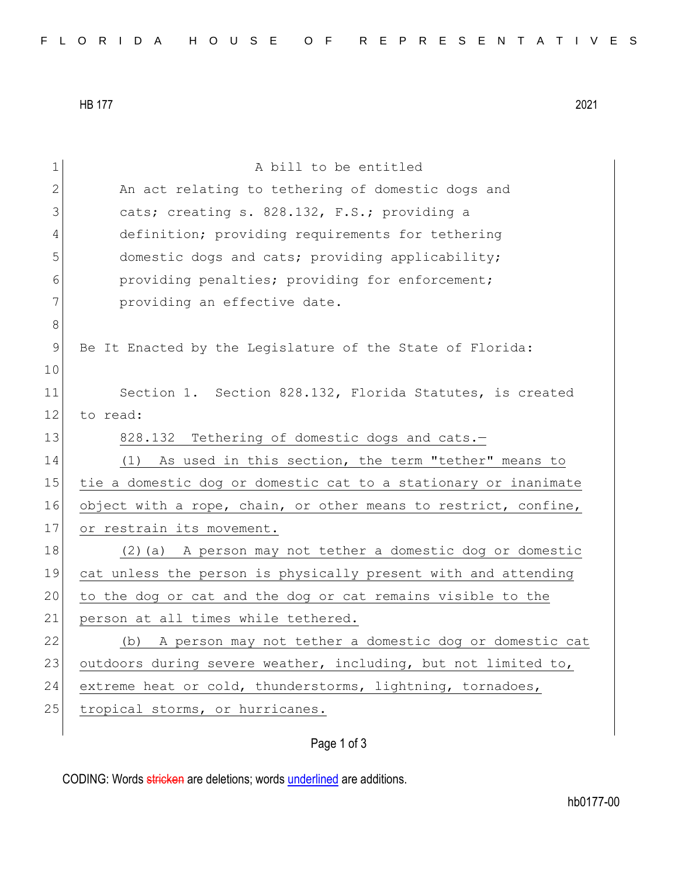HB 177 2021

| 1            | A bill to be entitled                                           |
|--------------|-----------------------------------------------------------------|
| $\mathbf{2}$ | An act relating to tethering of domestic dogs and               |
| 3            | cats; creating s. 828.132, F.S.; providing a                    |
| 4            | definition; providing requirements for tethering                |
| 5            | domestic dogs and cats; providing applicability;                |
| 6            | providing penalties; providing for enforcement;                 |
| 7            | providing an effective date.                                    |
| $\,8\,$      |                                                                 |
| $\mathsf 9$  | Be It Enacted by the Legislature of the State of Florida:       |
| 10           |                                                                 |
| 11           | Section 1. Section 828.132, Florida Statutes, is created        |
| 12           | to read:                                                        |
| 13           | 828.132 Tethering of domestic dogs and cats.-                   |
| 14           | (1) As used in this section, the term "tether" means to         |
| 15           | tie a domestic dog or domestic cat to a stationary or inanimate |
| 16           | object with a rope, chain, or other means to restrict, confine, |
| 17           | or restrain its movement.                                       |
| 18           | (2) (a) A person may not tether a domestic dog or domestic      |
| 19           | cat unless the person is physically present with and attending  |
| 20           | to the dog or cat and the dog or cat remains visible to the     |
| 21           | person at all times while tethered.                             |
| 22           | A person may not tether a domestic dog or domestic cat<br>(b)   |
| 23           | outdoors during severe weather, including, but not limited to,  |
| 24           | extreme heat or cold, thunderstorms, lightning, tornadoes,      |
| 25           | tropical storms, or hurricanes.                                 |
|              |                                                                 |

## Page 1 of 3

CODING: Words stricken are deletions; words underlined are additions.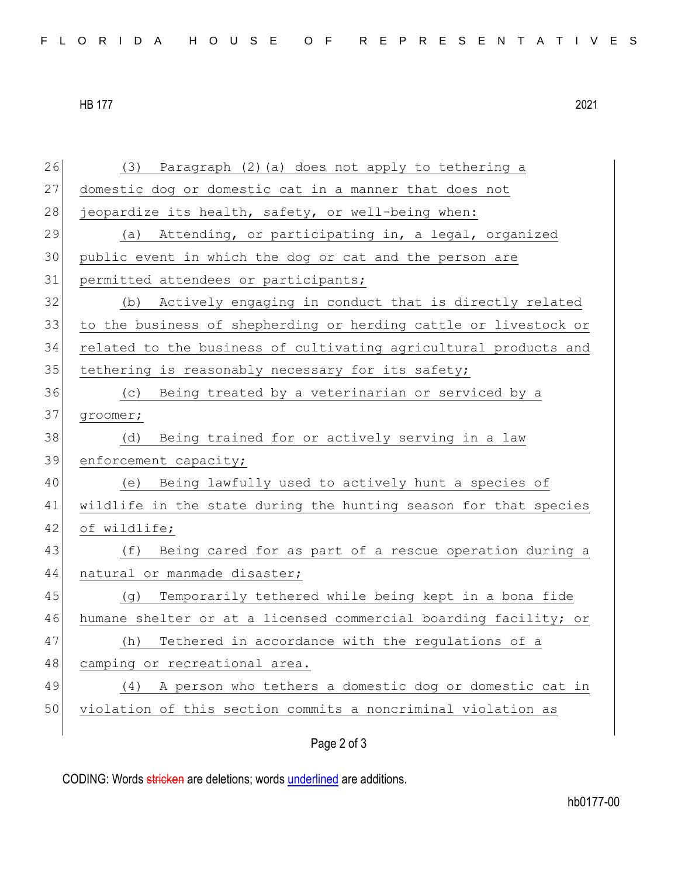HB 177 2021

| 26 | (3) Paragraph (2) (a) does not apply to tethering a              |
|----|------------------------------------------------------------------|
| 27 | domestic dog or domestic cat in a manner that does not           |
| 28 | jeopardize its health, safety, or well-being when:               |
| 29 | Attending, or participating in, a legal, organized<br>(a)        |
| 30 | public event in which the dog or cat and the person are          |
| 31 | permitted attendees or participants;                             |
| 32 | Actively engaging in conduct that is directly related<br>(b)     |
| 33 | to the business of shepherding or herding cattle or livestock or |
| 34 | related to the business of cultivating agricultural products and |
| 35 | tethering is reasonably necessary for its safety;                |
| 36 | Being treated by a veterinarian or serviced by a<br>(C)          |
| 37 | groomer;                                                         |
| 38 | Being trained for or actively serving in a law<br>(d)            |
| 39 | enforcement capacity;                                            |
|    |                                                                  |
| 40 | (e) Being lawfully used to actively hunt a species of            |
| 41 | wildlife in the state during the hunting season for that species |
| 42 | of wildlife;                                                     |
| 43 | Being cared for as part of a rescue operation during a<br>(f)    |
| 44 | natural or manmade disaster;                                     |
| 45 | Temporarily tethered while being kept in a bona fide<br>(d)      |
| 46 | humane shelter or at a licensed commercial boarding facility; or |
| 47 | Tethered in accordance with the regulations of a<br>(h)          |
| 48 | camping or recreational area.                                    |
| 49 | (4) A person who tethers a domestic dog or domestic cat in       |
| 50 | violation of this section commits a noncriminal violation as     |

Page 2 of 3

CODING: Words stricken are deletions; words underlined are additions.